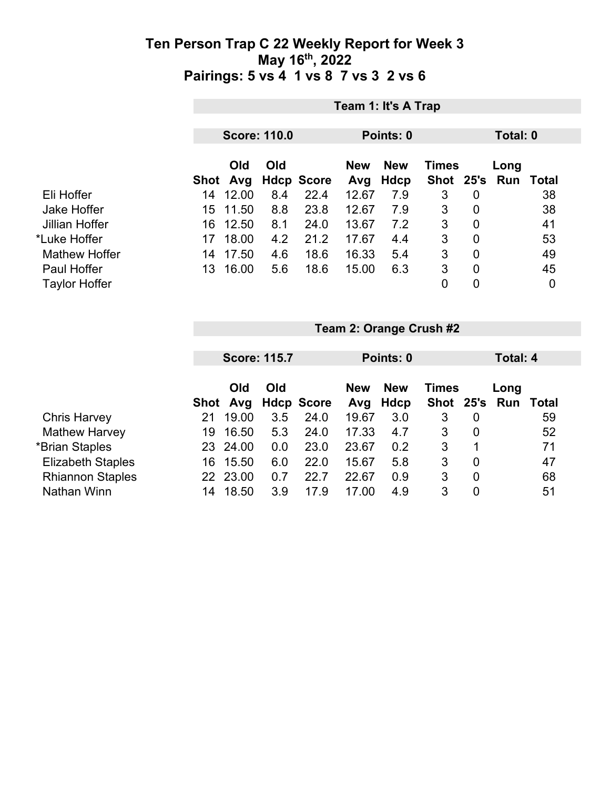|                      |                 | Team 1: It's A Trap |                   |                   |                    |              |                |                             |    |  |  |  |
|----------------------|-----------------|---------------------|-------------------|-------------------|--------------------|--------------|----------------|-----------------------------|----|--|--|--|
|                      |                 | <b>Score: 110.0</b> |                   |                   |                    | Points: 0    |                |                             |    |  |  |  |
|                      | Old<br>Shot Avg | Old                 | <b>Hdcp Score</b> | <b>New</b><br>Avg | <b>New</b><br>Hdcp | <b>Times</b> |                | Long<br>Shot 25's Run Total |    |  |  |  |
| Eli Hoffer           | 12.00<br>14     | 8.4                 | 22.4              | 12.67             | 7.9                | 3            | $\overline{0}$ |                             | 38 |  |  |  |
| <b>Jake Hoffer</b>   | 11.50<br>15.    | 8.8                 | 23.8              | 12.67             | 7.9                | 3            | $\overline{0}$ |                             | 38 |  |  |  |
| Jillian Hoffer       | 12.50<br>16     | 8.1                 | 24.0              | 13.67             | 7.2                | 3            | $\overline{0}$ |                             | 41 |  |  |  |
| *Luke Hoffer         | 18.00<br>17     | 4.2                 | 21.2              | 17.67             | 4.4                | 3            | $\overline{0}$ |                             | 53 |  |  |  |
| <b>Mathew Hoffer</b> | 17.50<br>14     | 4.6                 | 18.6              | 16.33             | 5.4                | 3            | 0              |                             | 49 |  |  |  |
| Paul Hoffer          | 16.00<br>13     | 5.6                 | 18.6              | 15.00             | 6.3                | 3            | $\overline{0}$ |                             | 45 |  |  |  |
| <b>Taylor Hoffer</b> |                 |                     |                   |                   |                    | 0            | 0              |                             | 0  |  |  |  |

|                          |     | <b>Score: 115.7</b> |     |                   |            | Points: 0  |              |             |      | Total: 4     |  |  |
|--------------------------|-----|---------------------|-----|-------------------|------------|------------|--------------|-------------|------|--------------|--|--|
|                          |     |                     |     |                   |            |            |              |             |      |              |  |  |
|                          |     | Old                 | Old |                   | <b>New</b> | <b>New</b> | <b>Times</b> |             | Long |              |  |  |
|                          |     | Shot Avg            |     | <b>Hdcp Score</b> | Avg        | Hdcp       | Shot 25's    |             | Run  | <b>Total</b> |  |  |
| <b>Chris Harvey</b>      | 21  | 19.00               | 3.5 | 24.0              | 19.67      | 3.0        | 3            | 0           |      | 59           |  |  |
| <b>Mathew Harvey</b>     | 19  | 16.50               | 5.3 | 24.0              | 17.33      | 4.7        | 3            | 0           |      | 52           |  |  |
| *Brian Staples           | 23  | 24.00               | 0.0 | 23.0              | 23.67      | 0.2        | 3            | $\mathbf 1$ |      | 71           |  |  |
| <b>Elizabeth Staples</b> | 16  | 15.50               | 6.0 | 22.0              | 15.67      | 5.8        | 3            | 0           |      | 47           |  |  |
| <b>Rhiannon Staples</b>  | 22. | 23.00               | 0.7 | 22.7              | 22.67      | 0.9        | 3            | 0           |      | 68           |  |  |
| Nathan Winn              | 14  | 18.50               | 3.9 | 17.9              | 17.00      | 4.9        | 3            | 0           |      | 51           |  |  |

**Team 2: Orange Crush #2**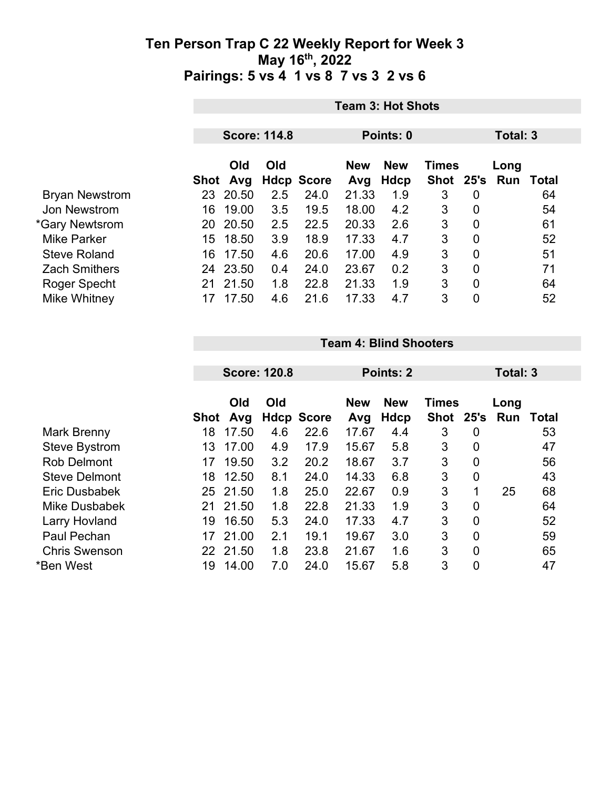|                       | <b>Team 3: Hot Shots</b> |       |     |                   |            |            |              |                |      |       |  |
|-----------------------|--------------------------|-------|-----|-------------------|------------|------------|--------------|----------------|------|-------|--|
|                       |                          |       |     |                   |            | Points: 0  |              |                |      |       |  |
|                       | <b>Score: 114.8</b>      |       |     |                   |            |            | Total: 3     |                |      |       |  |
|                       |                          | Old   | Old |                   | <b>New</b> | <b>New</b> | <b>Times</b> |                | Long |       |  |
|                       | Shot                     | Avg   |     | <b>Hdcp Score</b> | Avg        | Hdcp       | <b>Shot</b>  | 25's           | Run  | Total |  |
| <b>Bryan Newstrom</b> | 23                       | 20.50 | 2.5 | 24.0              | 21.33      | 1.9        | 3            | 0              |      | 64    |  |
| Jon Newstrom          | 16                       | 19.00 | 3.5 | 19.5              | 18.00      | 4.2        | 3            | 0              |      | 54    |  |
| *Gary Newtsrom        | 20                       | 20.50 | 2.5 | 22.5              | 20.33      | 2.6        | 3            | $\overline{0}$ |      | 61    |  |
| <b>Mike Parker</b>    | 15                       | 18.50 | 3.9 | 18.9              | 17.33      | 4.7        | 3            | $\overline{0}$ |      | 52    |  |
| <b>Steve Roland</b>   | 16                       | 17.50 | 4.6 | 20.6              | 17.00      | 4.9        | 3            | $\mathbf 0$    |      | 51    |  |
| <b>Zach Smithers</b>  | 24                       | 23.50 | 0.4 | 24.0              | 23.67      | 0.2        | 3            | $\overline{0}$ |      | 71    |  |
| Roger Specht          | 21                       | 21.50 | 1.8 | 22.8              | 21.33      | 1.9        | 3            | $\overline{0}$ |      | 64    |  |
| Mike Whitney          | 17                       | 17.50 | 4.6 | 21.6              | 17.33      | 4.7        | 3            | 0              |      | 52    |  |

#### **Team 4: Blind Shooters**

|                      | <b>Score: 120.8</b> |            |     | Points: 2         |                   |                    |                             | Total: 3       |             |       |  |
|----------------------|---------------------|------------|-----|-------------------|-------------------|--------------------|-----------------------------|----------------|-------------|-------|--|
|                      | Shot                | Old<br>Avg | Old | <b>Hdcp Score</b> | <b>New</b><br>Avg | <b>New</b><br>Hdcp | <b>Times</b><br><b>Shot</b> | 25's           | Long<br>Run | Total |  |
| Mark Brenny          | 18                  | 17.50      | 4.6 | 22.6              | 17.67             | 4.4                | 3                           | 0              |             | 53    |  |
| <b>Steve Bystrom</b> | 13                  | 17.00      | 4.9 | 17.9              | 15.67             | 5.8                | 3                           | 0              |             | 47    |  |
| <b>Rob Delmont</b>   | 17                  | 19.50      | 3.2 | 20.2              | 18.67             | 3.7                | 3                           | 0              |             | 56    |  |
| <b>Steve Delmont</b> | 18                  | 12.50      | 8.1 | 24.0              | 14.33             | 6.8                | 3                           | 0              |             | 43    |  |
| Eric Dusbabek        | 25                  | 21.50      | 1.8 | 25.0              | 22.67             | 0.9                | 3                           | 1              | 25          | 68    |  |
| Mike Dusbabek        | 21                  | 21.50      | 1.8 | 22.8              | 21.33             | 1.9                | 3                           | 0              |             | 64    |  |
| <b>Larry Hovland</b> | 19                  | 16.50      | 5.3 | 24.0              | 17.33             | 4.7                | 3                           | 0              |             | 52    |  |
| Paul Pechan          | 17                  | 21.00      | 2.1 | 19.1              | 19.67             | 3.0                | 3                           | 0              |             | 59    |  |
| <b>Chris Swenson</b> |                     | 22 21.50   | 1.8 | 23.8              | 21.67             | 1.6                | 3                           | $\overline{0}$ |             | 65    |  |
| *Ben West            | 19                  | 14.00      | 7.0 | 24.0              | 15.67             | 5.8                | 3                           | 0              |             | 47    |  |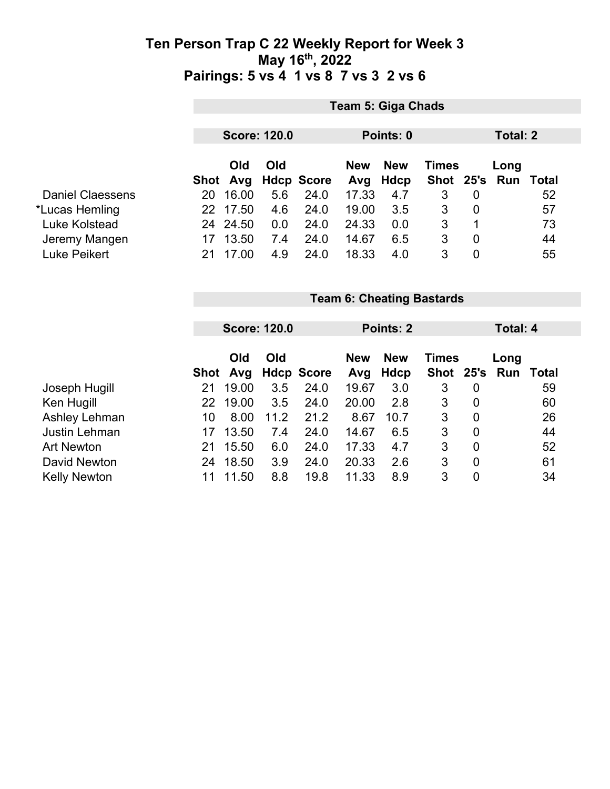|                         | <b>Team 5: Giga Chads</b> |          |     |                   |            |             |              |                |      |                  |  |
|-------------------------|---------------------------|----------|-----|-------------------|------------|-------------|--------------|----------------|------|------------------|--|
|                         | <b>Score: 120.0</b>       |          |     | Points: 0         |            |             | Total: 2     |                |      |                  |  |
|                         |                           | Old      | Old |                   | <b>New</b> | <b>New</b>  | <b>Times</b> |                | Long |                  |  |
|                         |                           | Shot Avg |     | <b>Hdcp Score</b> | Avg        | <b>Hdcp</b> | Shot 25's    |                |      | <b>Run Total</b> |  |
| <b>Daniel Claessens</b> | 20                        | 16.00    | 5.6 | 24.0              | 17.33      | 4.7         | 3            | $\mathbf 0$    |      | 52               |  |
| *Lucas Hemling          | 22                        | 17.50    | 4.6 | 24.0              | 19.00      | 3.5         | 3            | $\overline{0}$ |      | 57               |  |
| Luke Kolstead           | 24                        | 24.50    | 0.0 | 24.0              | 24.33      | 0.0         | 3            | 1              |      | 73               |  |
| Jeremy Mangen           | 17                        | 13.50    | 7.4 | 24.0              | 14.67      | 6.5         | 3            | $\overline{0}$ |      | 44               |  |
| Luke Peikert            | 21                        | 17.00    | 4.9 | 24.0              | 18.33      | 4.0         | 3            | $\mathbf 0$    |      | 55               |  |

|                     |      | <b>Score: 120.0</b> |      |                   | Points: 2  |            |              |                | Total: 4 |       |  |
|---------------------|------|---------------------|------|-------------------|------------|------------|--------------|----------------|----------|-------|--|
|                     |      |                     |      |                   |            |            |              |                |          |       |  |
|                     |      | Old                 | Old  |                   | <b>New</b> | <b>New</b> | <b>Times</b> |                | Long     |       |  |
|                     | Shot | Avg                 |      | <b>Hdcp Score</b> | Avg        | Hdcp       | Shot 25's    |                | Run      | Total |  |
| Joseph Hugill       | 21   | 19.00               | 3.5  | 24.0              | 19.67      | 3.0        | 3            | $\overline{0}$ |          | 59    |  |
| Ken Hugill          | 22   | 19.00               | 3.5  | 24.0              | 20.00      | 2.8        | 3            | $\overline{0}$ |          | 60    |  |
| Ashley Lehman       | 10   | 8.00                | 11.2 | 21.2              | 8.67       | 10.7       | 3            | 0              |          | 26    |  |
| Justin Lehman       | 17   | 13.50               | 7.4  | 24.0              | 14.67      | 6.5        | 3            | 0              |          | 44    |  |
| <b>Art Newton</b>   | 21   | 15.50               | 6.0  | 24.0              | 17.33      | 4.7        | 3            | $\mathbf 0$    |          | 52    |  |
| David Newton        | 24   | 18.50               | 3.9  | 24.0              | 20.33      | 2.6        | 3            | 0              |          | 61    |  |
| <b>Kelly Newton</b> |      | 11.50               | 8.8  | 19.8              | 11.33      | 8.9        | 3            | 0              |          | 34    |  |

**Team 6: Cheating Bastards**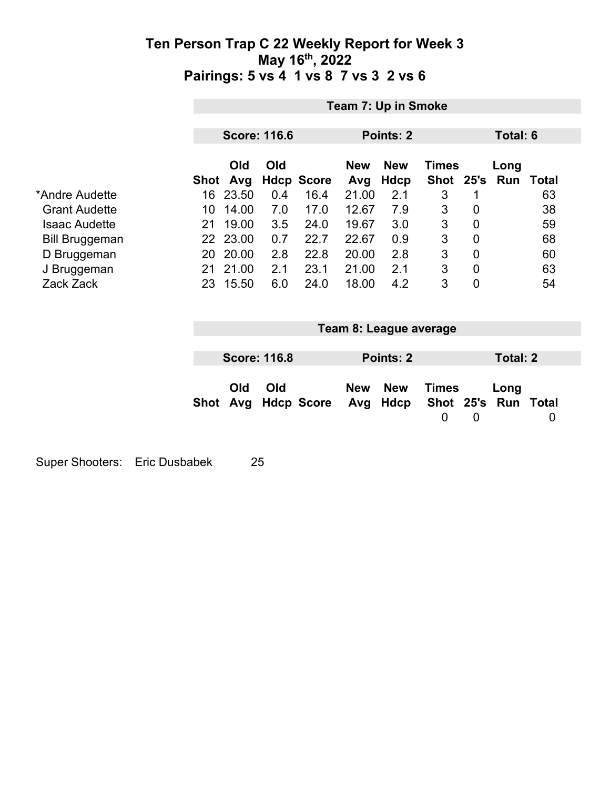|                       |                 |            |                     |                   |                   | Team 7: Up in Smoke    |                             |             |                             |              |
|-----------------------|-----------------|------------|---------------------|-------------------|-------------------|------------------------|-----------------------------|-------------|-----------------------------|--------------|
|                       |                 |            | <b>Score: 116.6</b> |                   |                   | Points: 2              |                             |             | Total: 6                    |              |
|                       | Shot            | Old<br>Avg | Old                 | <b>Hdcp Score</b> | <b>New</b><br>Avg | <b>New</b><br>Hdcp     | <b>Times</b><br><b>Shot</b> | 25's        | Long<br>Run                 | <b>Total</b> |
| *Andre Audette        |                 | 16 23.50   | 0.4                 | 16.4              | 21.00             | 2.1                    | 3                           | 1           |                             | 63           |
| <b>Grant Audette</b>  | 10 <sup>°</sup> | 14.00      | 7.0                 | 17.0              | 12.67             | 7.9                    | 3                           | 0           |                             | 38           |
| <b>Isaac Audette</b>  | 21              | 19.00      | 3.5                 | 24.0              | 19.67             | 3.0                    | 3                           | $\mathbf 0$ |                             | 59           |
| <b>Bill Bruggeman</b> |                 | 22 23.00   | 0.7                 | 22.7              | 22.67             | 0.9                    | $\sqrt{3}$                  | $\mathbf 0$ |                             | 68           |
| D Bruggeman           |                 | 20 20.00   | 2.8                 | 22.8              | 20.00             | 2.8                    | 3                           | $\mathbf 0$ |                             | 60           |
| J Bruggeman           | 21              | 21.00      | 2.1                 | 23.1              | 21.00             | 2.1                    | $\sqrt{3}$                  | 0           |                             | 63           |
| Zack Zack             |                 | 23 15.50   | 6.0                 | 24.0              | 18.00             | 4.2                    | 3                           | $\mathbf 0$ |                             | 54           |
|                       |                 |            |                     |                   |                   | Team 8: League average |                             |             |                             |              |
|                       |                 |            | <b>Score: 116.8</b> |                   |                   | Points: 2              |                             |             | <b>Total: 2</b>             |              |
|                       | Shot            | Old<br>Avg | Old                 | <b>Hdcp Score</b> | <b>New</b><br>Avg | <b>New</b><br>Hdcp     | <b>Times</b><br>0           | 0           | Long<br>Shot 25's Run Total | 0            |

Super Shooters: Eric Dusbabek 25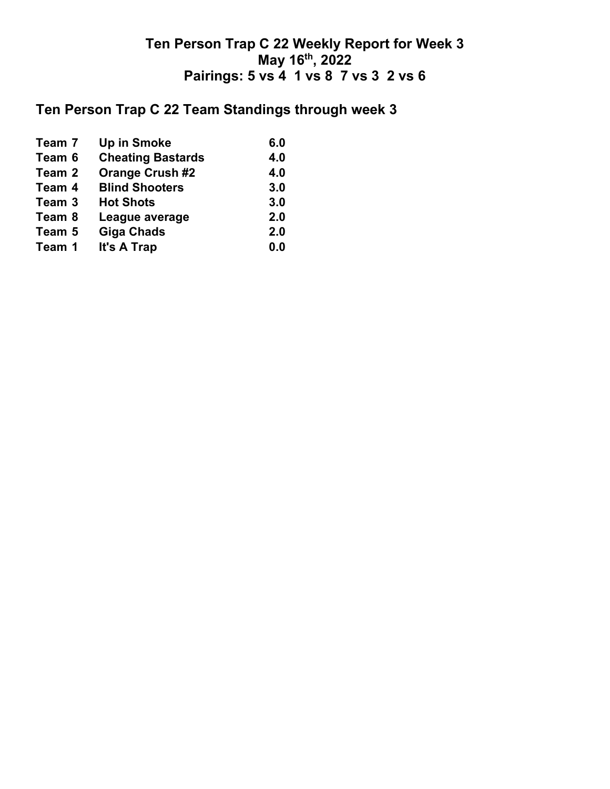# **Ten Person Trap C 22 Team Standings through week 3**

| Team 7 | <b>Up in Smoke</b>       | 6.0 |
|--------|--------------------------|-----|
| Team 6 | <b>Cheating Bastards</b> | 4.0 |
| Team 2 | <b>Orange Crush #2</b>   | 4.0 |
| Team 4 | <b>Blind Shooters</b>    | 3.0 |
| Team 3 | <b>Hot Shots</b>         | 3.0 |
| Team 8 | League average           | 2.0 |
| Team 5 | <b>Giga Chads</b>        | 2.0 |
| Team 1 | It's A Trap              | 0.0 |
|        |                          |     |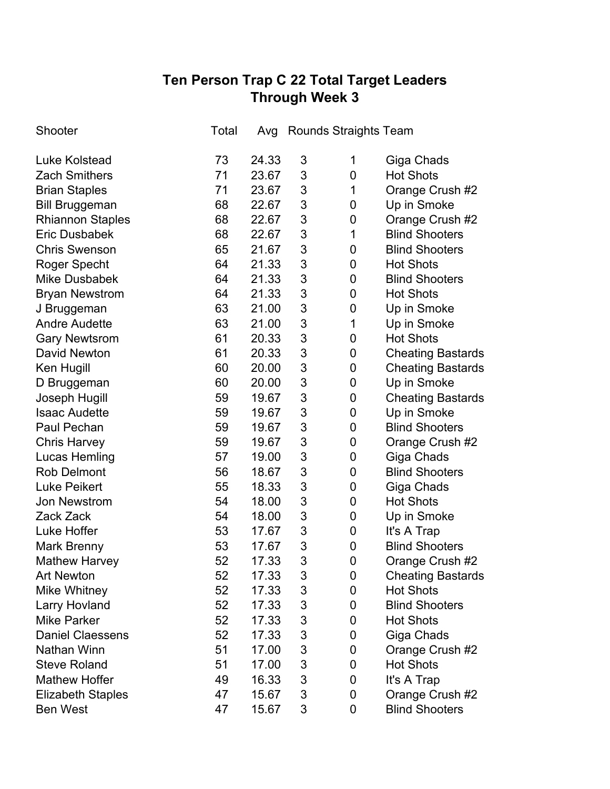## **Ten Person Trap C 22 Total Target Leaders Through Week 3**

| Shooter                  | Total | Avg   | <b>Rounds Straights Team</b> |                |                          |
|--------------------------|-------|-------|------------------------------|----------------|--------------------------|
| <b>Luke Kolstead</b>     | 73    | 24.33 | 3                            | 1              | Giga Chads               |
| <b>Zach Smithers</b>     | 71    | 23.67 | 3                            | 0              | <b>Hot Shots</b>         |
| <b>Brian Staples</b>     | 71    | 23.67 | 3                            | 1              | Orange Crush #2          |
| <b>Bill Bruggeman</b>    | 68    | 22.67 | 3                            | 0              | Up in Smoke              |
| <b>Rhiannon Staples</b>  | 68    | 22.67 | 3                            | 0              | Orange Crush #2          |
| <b>Eric Dusbabek</b>     | 68    | 22.67 | 3                            | 1              | <b>Blind Shooters</b>    |
| <b>Chris Swenson</b>     | 65    | 21.67 | 3                            | 0              | <b>Blind Shooters</b>    |
| Roger Specht             | 64    | 21.33 | 3                            | 0              | <b>Hot Shots</b>         |
| <b>Mike Dusbabek</b>     | 64    | 21.33 | 3                            | 0              | <b>Blind Shooters</b>    |
| <b>Bryan Newstrom</b>    | 64    | 21.33 | 3                            | 0              | <b>Hot Shots</b>         |
| J Bruggeman              | 63    | 21.00 | 3                            | 0              | Up in Smoke              |
| <b>Andre Audette</b>     | 63    | 21.00 | 3                            | 1              | Up in Smoke              |
| <b>Gary Newtsrom</b>     | 61    | 20.33 | 3                            | 0              | <b>Hot Shots</b>         |
| <b>David Newton</b>      | 61    | 20.33 | 3                            | 0              | <b>Cheating Bastards</b> |
| Ken Hugill               | 60    | 20.00 | 3                            | 0              | <b>Cheating Bastards</b> |
| D Bruggeman              | 60    | 20.00 | 3                            | 0              | Up in Smoke              |
| Joseph Hugill            | 59    | 19.67 | 3                            | 0              | <b>Cheating Bastards</b> |
| <b>Isaac Audette</b>     | 59    | 19.67 | 3                            | 0              | Up in Smoke              |
| Paul Pechan              | 59    | 19.67 | 3                            | 0              | <b>Blind Shooters</b>    |
| <b>Chris Harvey</b>      | 59    | 19.67 | 3                            | 0              | Orange Crush #2          |
| <b>Lucas Hemling</b>     | 57    | 19.00 | 3                            | 0              | Giga Chads               |
| <b>Rob Delmont</b>       | 56    | 18.67 | 3                            | 0              | <b>Blind Shooters</b>    |
| <b>Luke Peikert</b>      | 55    | 18.33 | 3                            | 0              | Giga Chads               |
| <b>Jon Newstrom</b>      | 54    | 18.00 | 3                            | 0              | <b>Hot Shots</b>         |
| Zack Zack                | 54    | 18.00 | 3                            | 0              | Up in Smoke              |
| Luke Hoffer              | 53    | 17.67 | 3                            | 0              | It's A Trap              |
| Mark Brenny              | 53    | 17.67 | 3                            | 0              | <b>Blind Shooters</b>    |
| <b>Mathew Harvey</b>     | 52    | 17.33 | 3                            | $\overline{0}$ | Orange Crush #2          |
| <b>Art Newton</b>        | 52    | 17.33 | 3                            | 0              | <b>Cheating Bastards</b> |
| Mike Whitney             | 52    | 17.33 | 3                            | 0              | <b>Hot Shots</b>         |
| Larry Hovland            | 52    | 17.33 | 3                            | 0              | <b>Blind Shooters</b>    |
| <b>Mike Parker</b>       | 52    | 17.33 | 3                            | 0              | <b>Hot Shots</b>         |
| <b>Daniel Claessens</b>  | 52    | 17.33 | 3                            | 0              | Giga Chads               |
| Nathan Winn              | 51    | 17.00 | 3                            | 0              | Orange Crush #2          |
| <b>Steve Roland</b>      | 51    | 17.00 | 3                            | 0              | <b>Hot Shots</b>         |
| <b>Mathew Hoffer</b>     | 49    | 16.33 | 3                            | 0              | It's A Trap              |
| <b>Elizabeth Staples</b> | 47    | 15.67 | 3                            | 0              | Orange Crush #2          |
| <b>Ben West</b>          | 47    | 15.67 | 3                            | 0              | <b>Blind Shooters</b>    |